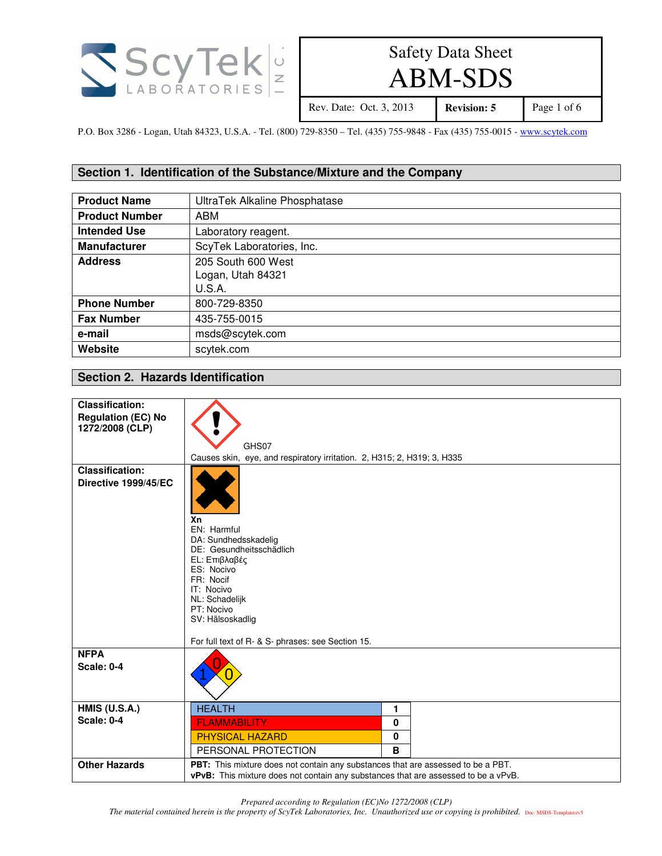

# ABM-SDS

Rev. Date: Oct. 3, 2013 **Revision: 5** Page 1 of 6

P.O. Box 3286 - Logan, Utah 84323, U.S.A. - Tel. (800) 729-8350 – Tel. (435) 755-9848 - Fax (435) 755-0015 - www.scytek.com

### **Section 1. Identification of the Substance/Mixture and the Company**

| <b>Product Name</b>   | UltraTek Alkaline Phosphatase |
|-----------------------|-------------------------------|
| <b>Product Number</b> | ABM                           |
| <b>Intended Use</b>   | Laboratory reagent.           |
| <b>Manufacturer</b>   | ScyTek Laboratories, Inc.     |
| <b>Address</b>        | 205 South 600 West            |
|                       | Logan, Utah 84321             |
|                       | U.S.A.                        |
| <b>Phone Number</b>   | 800-729-8350                  |
| <b>Fax Number</b>     | 435-755-0015                  |
| e-mail                | msds@scytek.com               |
| Website               | scytek.com                    |

## **Section 2. Hazards Identification**

| <b>Classification:</b><br><b>Regulation (EC) No</b> |                                                                                                                                                                 |  |
|-----------------------------------------------------|-----------------------------------------------------------------------------------------------------------------------------------------------------------------|--|
| 1272/2008 (CLP)                                     |                                                                                                                                                                 |  |
|                                                     | GHS07                                                                                                                                                           |  |
|                                                     | Causes skin, eye, and respiratory irritation. 2, H315; 2, H319; 3, H335                                                                                         |  |
| <b>Classification:</b><br>Directive 1999/45/EC      | Xn<br>EN: Harmful<br>DA: Sundhedsskadelig<br>DE: Gesundheitsschädlich                                                                                           |  |
|                                                     | EL: Επιβλαβές<br>ES: Nocivo<br>FR: Nocif<br>IT: Nocivo<br>NL: Schadelijk<br>PT: Nocivo<br>SV: Hälsoskadlig<br>For full text of R- & S- phrases: see Section 15. |  |
| <b>NFPA</b><br><b>Scale: 0-4</b>                    |                                                                                                                                                                 |  |
| <b>HMIS (U.S.A.)</b>                                | <b>HEALTH</b><br>1                                                                                                                                              |  |
| <b>Scale: 0-4</b>                                   | <b>FLAMMABILITY</b><br>0                                                                                                                                        |  |
|                                                     | 0<br><b>PHYSICAL HAZARD</b>                                                                                                                                     |  |
|                                                     | B<br>PERSONAL PROTECTION                                                                                                                                        |  |
| <b>Other Hazards</b>                                | PBT: This mixture does not contain any substances that are assessed to be a PBT.                                                                                |  |
|                                                     | <b>vPvB:</b> This mixture does not contain any substances that are assessed to be a vPvB.                                                                       |  |

*Prepared according to Regulation (EC)No 1272/2008 (CLP)* 

*The material contained herein is the property of ScyTek Laboratories, Inc. Unauthorized use or copying is prohibited.* Doc: MSDS-Templaterev5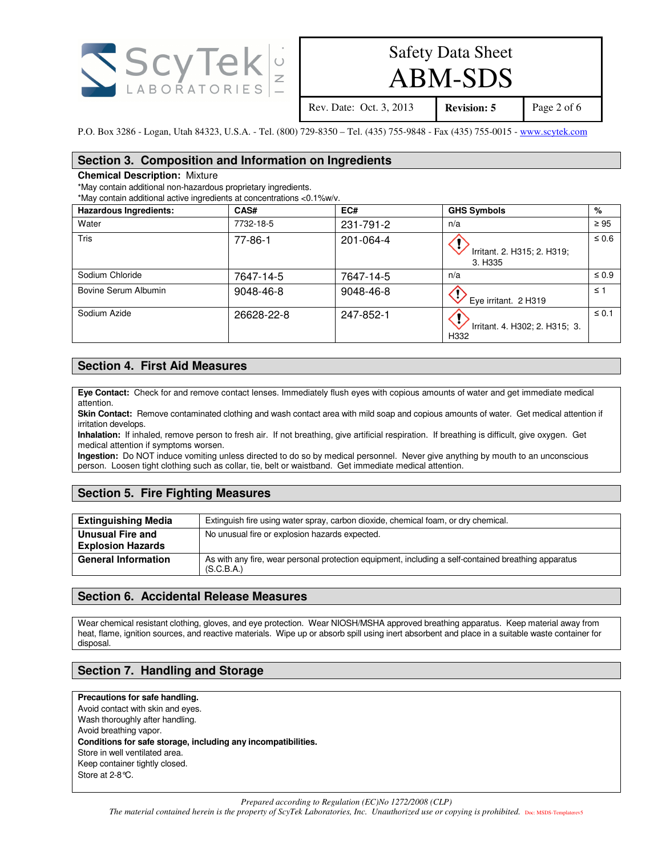

## ABM-SDS

Rev. Date: Oct. 3, 2013 **Revision: 5** Page 2 of 6

P.O. Box 3286 - Logan, Utah 84323, U.S.A. - Tel. (800) 729-8350 – Tel. (435) 755-9848 - Fax (435) 755-0015 - www.scytek.com

#### **Section 3. Composition and Information on Ingredients**

#### **Chemical Description:** Mixture

\*May contain additional non-hazardous proprietary ingredients.

\*May contain additional active ingredients at concentrations <0.1%w/v.

| <b>Hazardous Ingredients:</b> | CAS#          | EC#       | <b>GHS Symbols</b>                     | %          |
|-------------------------------|---------------|-----------|----------------------------------------|------------|
| Water                         | 7732-18-5     | 231-791-2 | n/a                                    | $\geq 95$  |
| Tris                          | $77 - 86 - 1$ | 201-064-4 | Irritant. 2. H315; 2. H319;<br>3. H335 | $\leq 0.6$ |
| Sodium Chloride               | 7647-14-5     | 7647-14-5 | n/a                                    | $\leq 0.9$ |
| Bovine Serum Albumin          | 9048-46-8     | 9048-46-8 | Œ<br>Eye irritant. 2 H319              | $\leq 1$   |
| Sodium Azide                  | 26628-22-8    | 247-852-1 | Irritant. 4. H302; 2. H315; 3.<br>H332 | $\leq 0.1$ |

#### **Section 4. First Aid Measures**

**Eye Contact:** Check for and remove contact lenses. Immediately flush eyes with copious amounts of water and get immediate medical attention.

**Skin Contact:** Remove contaminated clothing and wash contact area with mild soap and copious amounts of water. Get medical attention if irritation develops.

**Inhalation:** If inhaled, remove person to fresh air. If not breathing, give artificial respiration. If breathing is difficult, give oxygen. Get medical attention if symptoms worsen.

**Ingestion:** Do NOT induce vomiting unless directed to do so by medical personnel. Never give anything by mouth to an unconscious person. Loosen tight clothing such as collar, tie, belt or waistband. Get immediate medical attention.

## **Section 5. Fire Fighting Measures**

| <b>Extinguishing Media</b>                   | Extinguish fire using water spray, carbon dioxide, chemical foam, or dry chemical.                                 |
|----------------------------------------------|--------------------------------------------------------------------------------------------------------------------|
| Unusual Fire and<br><b>Explosion Hazards</b> | No unusual fire or explosion hazards expected.                                                                     |
| <b>General Information</b>                   | As with any fire, wear personal protection equipment, including a self-contained breathing apparatus<br>(S.C.B.A.) |

#### **Section 6. Accidental Release Measures**

Wear chemical resistant clothing, gloves, and eye protection. Wear NIOSH/MSHA approved breathing apparatus. Keep material away from heat, flame, ignition sources, and reactive materials. Wipe up or absorb spill using inert absorbent and place in a suitable waste container for disposal.

## **Section 7. Handling and Storage**

#### **Precautions for safe handling.**

Avoid contact with skin and eyes. Wash thoroughly after handling. Avoid breathing vapor. **Conditions for safe storage, including any incompatibilities.**  Store in well ventilated area. Keep container tightly closed. Store at 2-8°C.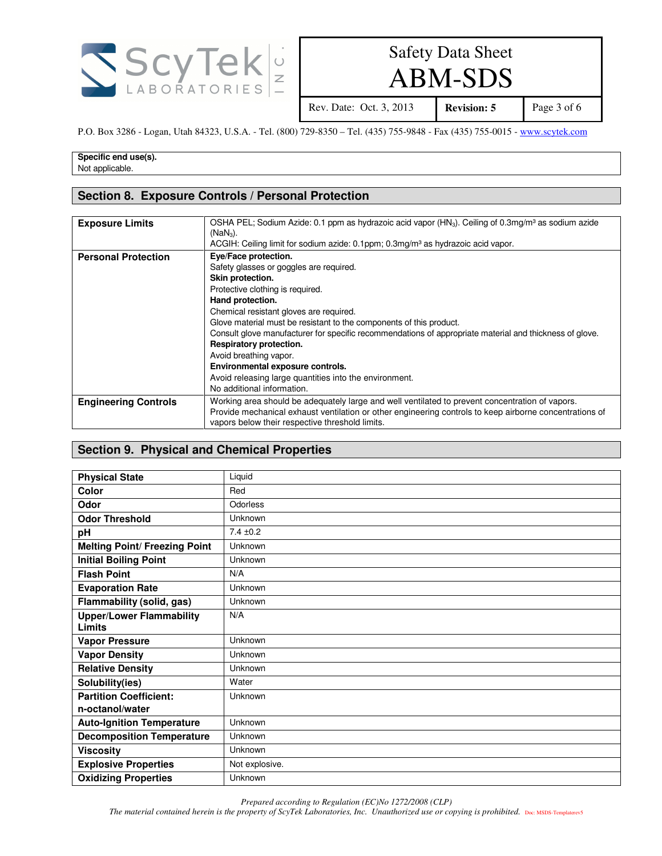

ABM-SDS

Rev. Date: Oct. 3, 2013 **Revision: 5** Page 3 of 6

P.O. Box 3286 - Logan, Utah 84323, U.S.A. - Tel. (800) 729-8350 – Tel. (435) 755-9848 - Fax (435) 755-0015 - www.scytek.com

**Specific end use(s).** Not applicable.

#### **Section 8. Exposure Controls / Personal Protection**

| <b>Exposure Limits</b>      | OSHA PEL; Sodium Azide: 0.1 ppm as hydrazoic acid vapor (HN <sub>3</sub> ). Ceiling of 0.3mg/m <sup>3</sup> as sodium azide<br>$(NaN3)$ .<br>ACGIH: Ceiling limit for sodium azide: 0.1ppm; 0.3mg/m <sup>3</sup> as hydrazoic acid vapor.                                                                                                                                                                                                                                                                                                                 |
|-----------------------------|-----------------------------------------------------------------------------------------------------------------------------------------------------------------------------------------------------------------------------------------------------------------------------------------------------------------------------------------------------------------------------------------------------------------------------------------------------------------------------------------------------------------------------------------------------------|
| <b>Personal Protection</b>  | Eye/Face protection.<br>Safety glasses or goggles are required.<br>Skin protection.<br>Protective clothing is required.<br>Hand protection.<br>Chemical resistant gloves are required.<br>Glove material must be resistant to the components of this product.<br>Consult glove manufacturer for specific recommendations of appropriate material and thickness of glove.<br>Respiratory protection.<br>Avoid breathing vapor.<br>Environmental exposure controls.<br>Avoid releasing large quantities into the environment.<br>No additional information. |
| <b>Engineering Controls</b> | Working area should be adequately large and well ventilated to prevent concentration of vapors.<br>Provide mechanical exhaust ventilation or other engineering controls to keep airborne concentrations of<br>vapors below their respective threshold limits.                                                                                                                                                                                                                                                                                             |

### **Section 9. Physical and Chemical Properties**

| <b>Physical State</b>                     | Liquid         |
|-------------------------------------------|----------------|
| Color                                     | Red            |
| Odor                                      | Odorless       |
| <b>Odor Threshold</b>                     | Unknown        |
| pH                                        | $7.4 \pm 0.2$  |
| <b>Melting Point/ Freezing Point</b>      | Unknown        |
| <b>Initial Boiling Point</b>              | Unknown        |
| <b>Flash Point</b>                        | N/A            |
| <b>Evaporation Rate</b>                   | Unknown        |
| Flammability (solid, gas)                 | Unknown        |
| <b>Upper/Lower Flammability</b><br>Limits | N/A            |
| <b>Vapor Pressure</b>                     | Unknown        |
| <b>Vapor Density</b>                      | Unknown        |
| <b>Relative Density</b>                   | Unknown        |
| Solubility(ies)                           | Water          |
| <b>Partition Coefficient:</b>             | Unknown        |
| n-octanol/water                           |                |
| <b>Auto-Ignition Temperature</b>          | Unknown        |
| <b>Decomposition Temperature</b>          | Unknown        |
| <b>Viscosity</b>                          | Unknown        |
| <b>Explosive Properties</b>               | Not explosive. |
| <b>Oxidizing Properties</b>               | Unknown        |

*Prepared according to Regulation (EC)No 1272/2008 (CLP)* 

*The material contained herein is the property of ScyTek Laboratories, Inc. Unauthorized use or copying is prohibited.* Doc: MSDS-Templaterev5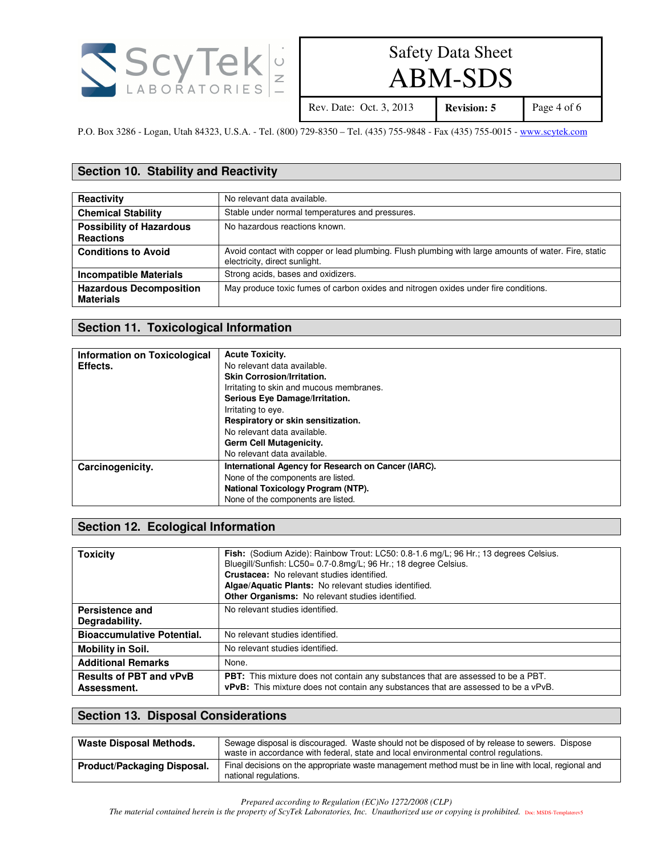

# ABM-SDS

Rev. Date: Oct. 3, 2013 **Revision: 5** Page 4 of 6

P.O. Box 3286 - Logan, Utah 84323, U.S.A. - Tel. (800) 729-8350 – Tel. (435) 755-9848 - Fax (435) 755-0015 - www.scytek.com

### **Section 10. Stability and Reactivity**

| Reactivity                                          | No relevant data available.                                                                                                           |
|-----------------------------------------------------|---------------------------------------------------------------------------------------------------------------------------------------|
| <b>Chemical Stability</b>                           | Stable under normal temperatures and pressures.                                                                                       |
| <b>Possibility of Hazardous</b><br><b>Reactions</b> | No hazardous reactions known.                                                                                                         |
| <b>Conditions to Avoid</b>                          | Avoid contact with copper or lead plumbing. Flush plumbing with large amounts of water. Fire, static<br>electricity, direct sunlight. |
| <b>Incompatible Materials</b>                       | Strong acids, bases and oxidizers.                                                                                                    |
| <b>Hazardous Decomposition</b><br><b>Materials</b>  | May produce toxic fumes of carbon oxides and nitrogen oxides under fire conditions.                                                   |

#### **Section 11. Toxicological Information**

| Information on Toxicological | <b>Acute Toxicity.</b>                              |
|------------------------------|-----------------------------------------------------|
| Effects.                     | No relevant data available.                         |
|                              | <b>Skin Corrosion/Irritation.</b>                   |
|                              | Irritating to skin and mucous membranes.            |
|                              | Serious Eye Damage/Irritation.                      |
|                              | Irritating to eye.                                  |
|                              | Respiratory or skin sensitization.                  |
|                              | No relevant data available.                         |
|                              | Germ Cell Mutagenicity.                             |
|                              | No relevant data available.                         |
| Carcinogenicity.             | International Agency for Research on Cancer (IARC). |
|                              | None of the components are listed.                  |
|                              | National Toxicology Program (NTP).                  |
|                              | None of the components are listed.                  |

### **Section 12. Ecological Information**

| <b>Toxicity</b>                               | Fish: (Sodium Azide): Rainbow Trout: LC50: 0.8-1.6 mg/L; 96 Hr.; 13 degrees Celsius.<br>Bluegill/Sunfish: LC50= 0.7-0.8mg/L; 96 Hr.; 18 degree Celsius.<br>Crustacea: No relevant studies identified.<br>Algae/Aquatic Plants: No relevant studies identified.<br>Other Organisms: No relevant studies identified. |
|-----------------------------------------------|--------------------------------------------------------------------------------------------------------------------------------------------------------------------------------------------------------------------------------------------------------------------------------------------------------------------|
| Persistence and<br>Degradability.             | No relevant studies identified.                                                                                                                                                                                                                                                                                    |
| <b>Bioaccumulative Potential.</b>             | No relevant studies identified.                                                                                                                                                                                                                                                                                    |
| <b>Mobility in Soil.</b>                      | No relevant studies identified.                                                                                                                                                                                                                                                                                    |
| <b>Additional Remarks</b>                     | None.                                                                                                                                                                                                                                                                                                              |
| <b>Results of PBT and vPvB</b><br>Assessment. | <b>PBT:</b> This mixture does not contain any substances that are assessed to be a PBT.<br>vPvB: This mixture does not contain any substances that are assessed to be a vPvB.                                                                                                                                      |

#### **Section 13. Disposal Considerations**

| <b>Waste Disposal Methods.</b> | Sewage disposal is discouraged. Waste should not be disposed of by release to sewers. Dispose<br>waste in accordance with federal, state and local environmental control regulations. |
|--------------------------------|---------------------------------------------------------------------------------------------------------------------------------------------------------------------------------------|
| Product/Packaging Disposal.    | Final decisions on the appropriate waste management method must be in line with local, regional and<br>national regulations.                                                          |

*Prepared according to Regulation (EC)No 1272/2008 (CLP)* 

*The material contained herein is the property of ScyTek Laboratories, Inc. Unauthorized use or copying is prohibited.* Doc: MSDS-Templaterev5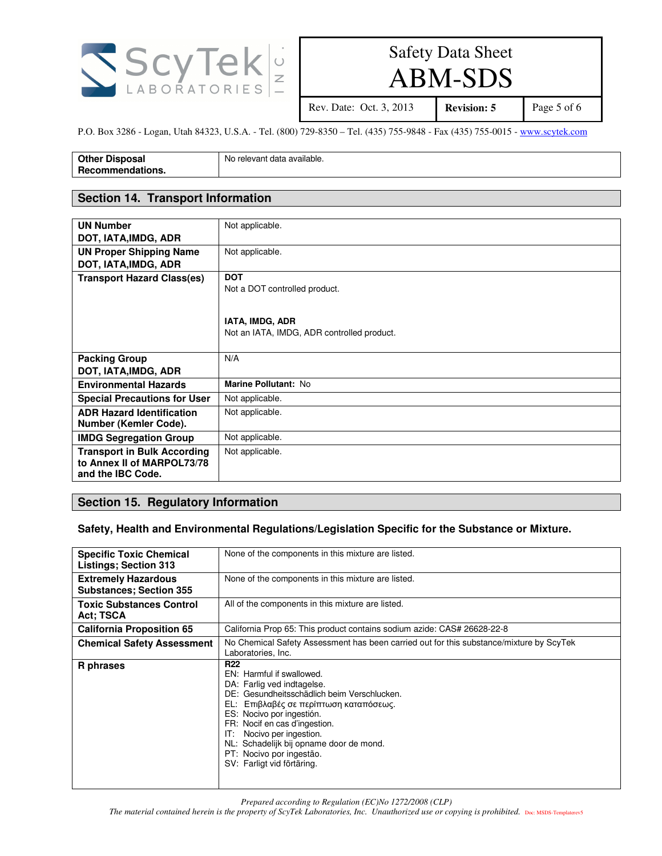

ABM-SDS

Rev. Date: Oct. 3, 2013 **Revision: 5** Page 5 of 6

P.O. Box 3286 - Logan, Utah 84323, U.S.A. - Tel. (800) 729-8350 – Tel. (435) 755-9848 - Fax (435) 755-0015 - www.scytek.com

| <b>Other Disposal</b> | No relevant data available. |
|-----------------------|-----------------------------|
| Recommendations.      |                             |

#### **Section 14. Transport Information**

| <b>UN Number</b><br>DOT, IATA, IMDG, ADR                                              | Not applicable.                                                                                              |
|---------------------------------------------------------------------------------------|--------------------------------------------------------------------------------------------------------------|
| <b>UN Proper Shipping Name</b><br>DOT, IATA, IMDG, ADR                                | Not applicable.                                                                                              |
| <b>Transport Hazard Class(es)</b>                                                     | <b>DOT</b><br>Not a DOT controlled product.<br>IATA, IMDG, ADR<br>Not an IATA, IMDG, ADR controlled product. |
| <b>Packing Group</b><br>DOT, IATA, IMDG, ADR                                          | N/A                                                                                                          |
| <b>Environmental Hazards</b>                                                          | Marine Pollutant: No                                                                                         |
| <b>Special Precautions for User</b>                                                   | Not applicable.                                                                                              |
| <b>ADR Hazard Identification</b><br>Number (Kemler Code).                             | Not applicable.                                                                                              |
| <b>IMDG Segregation Group</b>                                                         | Not applicable.                                                                                              |
| <b>Transport in Bulk According</b><br>to Annex II of MARPOL73/78<br>and the IBC Code. | Not applicable.                                                                                              |

### **Section 15. Regulatory Information**

#### **Safety, Health and Environmental Regulations/Legislation Specific for the Substance or Mixture.**

| <b>Specific Toxic Chemical</b><br><b>Listings; Section 313</b> | None of the components in this mixture are listed.                                                                                                                                                                                                                                                                                                                |
|----------------------------------------------------------------|-------------------------------------------------------------------------------------------------------------------------------------------------------------------------------------------------------------------------------------------------------------------------------------------------------------------------------------------------------------------|
|                                                                |                                                                                                                                                                                                                                                                                                                                                                   |
| <b>Extremely Hazardous</b><br><b>Substances; Section 355</b>   | None of the components in this mixture are listed.                                                                                                                                                                                                                                                                                                                |
| <b>Toxic Substances Control</b><br>Act; TSCA                   | All of the components in this mixture are listed.                                                                                                                                                                                                                                                                                                                 |
| <b>California Proposition 65</b>                               | California Prop 65: This product contains sodium azide: CAS# 26628-22-8                                                                                                                                                                                                                                                                                           |
| <b>Chemical Safety Assessment</b>                              | No Chemical Safety Assessment has been carried out for this substance/mixture by ScyTek<br>Laboratories, Inc.                                                                                                                                                                                                                                                     |
| R phrases                                                      | <b>R22</b><br>EN: Harmful if swallowed.<br>DA: Farlig ved indtagelse.<br>DE: Gesundheitsschädlich beim Verschlucken.<br>EL: Επιβλαβές σε περίπτωση καταπόσεως.<br>ES: Nocivo por ingestión.<br>FR: Nocif en cas d'ingestion.<br>Nocivo per ingestion.<br>IT:<br>NL: Schadelijk bij opname door de mond.<br>PT: Nocivo por ingestão.<br>SV: Farligt vid förtäring. |

*Prepared according to Regulation (EC)No 1272/2008 (CLP)*